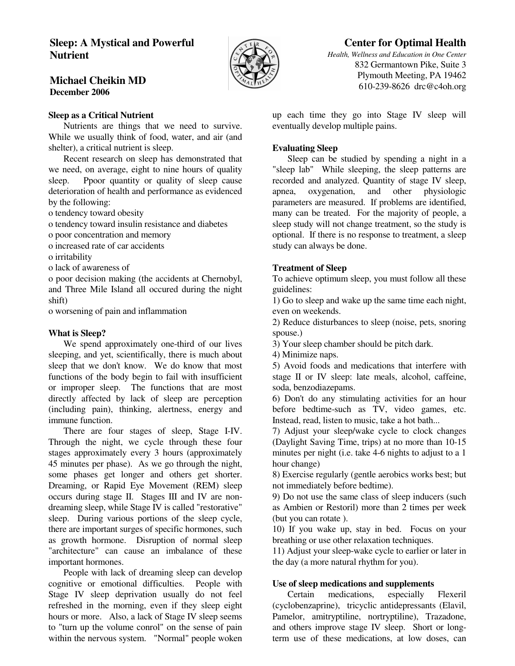## **Sleep: A Mystical and Powerful Nutrient**



# **Center for Optimal Health**

*Health, Wellness and Education in One Center* 832 Germantown Pike, Suite 3 Plymouth Meeting, PA 19462 610-239-8626 drc@c4oh.org

## **Michael Cheikin MD December 2006**

## **Sleep as a Critical Nutrient**

 Nutrients are things that we need to survive. While we usually think of food, water, and air (and shelter), a critical nutrient is sleep.

 Recent research on sleep has demonstrated that we need, on average, eight to nine hours of quality sleep. Ppoor quantity or quality of sleep cause deterioration of health and performance as evidenced by the following:

o tendency toward obesity

o tendency toward insulin resistance and diabetes

o poor concentration and memory

o increased rate of car accidents

o irritability

o lack of awareness of

o poor decision making (the accidents at Chernobyl, and Three Mile Island all occured during the night shift)

o worsening of pain and inflammation

#### **What is Sleep?**

 We spend approximately one-third of our lives sleeping, and yet, scientifically, there is much about sleep that we don't know. We do know that most functions of the body begin to fail with insufficient or improper sleep. The functions that are most directly affected by lack of sleep are perception (including pain), thinking, alertness, energy and immune function.

 There are four stages of sleep, Stage I-IV. Through the night, we cycle through these four stages approximately every 3 hours (approximately 45 minutes per phase). As we go through the night, some phases get longer and others get shorter. Dreaming, or Rapid Eye Movement (REM) sleep occurs during stage II. Stages III and IV are nondreaming sleep, while Stage IV is called "restorative" sleep. During various portions of the sleep cycle, there are important surges of specific hormones, such as growth hormone. Disruption of normal sleep "architecture" can cause an imbalance of these important hormones.

 People with lack of dreaming sleep can develop cognitive or emotional difficulties. People with Stage IV sleep deprivation usually do not feel refreshed in the morning, even if they sleep eight hours or more. Also, a lack of Stage IV sleep seems to "turn up the volume conrol" on the sense of pain within the nervous system. "Normal" people woken

up each time they go into Stage IV sleep will eventually develop multiple pains.

## **Evaluating Sleep**

 Sleep can be studied by spending a night in a "sleep lab" While sleeping, the sleep patterns are recorded and analyzed. Quantity of stage IV sleep, apnea, oxygenation, and other physiologic parameters are measured. If problems are identified, many can be treated. For the majority of people, a sleep study will not change treatment, so the study is optional. If there is no response to treatment, a sleep study can always be done.

#### **Treatment of Sleep**

To achieve optimum sleep, you must follow all these guidelines:

1) Go to sleep and wake up the same time each night, even on weekends.

2) Reduce disturbances to sleep (noise, pets, snoring spouse.)

3) Your sleep chamber should be pitch dark.

4) Minimize naps.

5) Avoid foods and medications that interfere with stage II or IV sleep: late meals, alcohol, caffeine, soda, benzodiazepams.

6) Don't do any stimulating activities for an hour before bedtime-such as TV, video games, etc. Instead, read, listen to music, take a hot bath...

7) Adjust your sleep/wake cycle to clock changes (Daylight Saving Time, trips) at no more than 10-15 minutes per night (i.e. take 4-6 nights to adjust to a 1 hour change)

8) Exercise regularly (gentle aerobics works best; but not immediately before bedtime).

9) Do not use the same class of sleep inducers (such as Ambien or Restoril) more than 2 times per week (but you can rotate ).

10) If you wake up, stay in bed. Focus on your breathing or use other relaxation techniques.

11) Adjust your sleep-wake cycle to earlier or later in the day (a more natural rhythm for you).

## **Use of sleep medications and supplements**

 Certain medications, especially Flexeril (cyclobenzaprine), tricyclic antidepressants (Elavil, Pamelor, amitryptiline, nortryptiline), Trazadone, and others improve stage IV sleep. Short or longterm use of these medications, at low doses, can